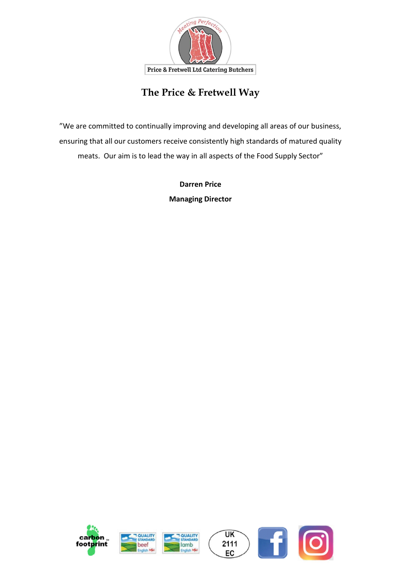

## **The Price & Fretwell Way**

"We are committed to continually improving and developing all areas of our business, ensuring that all our customers receive consistently high standards of matured quality meats. Our aim is to lead the way in all aspects of the Food Supply Sector"

> **Darren Price Managing Director**

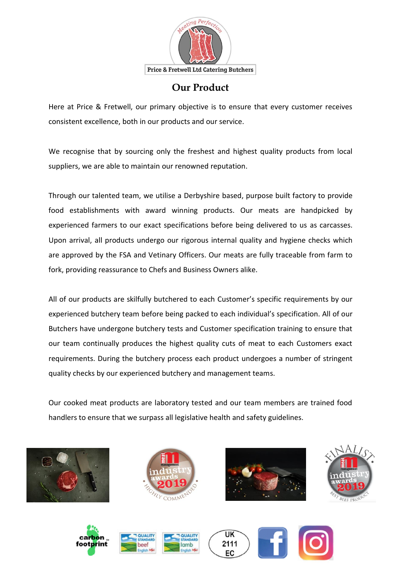

## **Our Product**

Here at Price & Fretwell, our primary objective is to ensure that every customer receives consistent excellence, both in our products and our service.

We recognise that by sourcing only the freshest and highest quality products from local suppliers, we are able to maintain our renowned reputation.

Through our talented team, we utilise a Derbyshire based, purpose built factory to provide food establishments with award winning products. Our meats are handpicked by experienced farmers to our exact specifications before being delivered to us as carcasses. Upon arrival, all products undergo our rigorous internal quality and hygiene checks which are approved by the FSA and Vetinary Officers. Our meats are fully traceable from farm to fork, providing reassurance to Chefs and Business Owners alike.

All of our products are skilfully butchered to each Customer's specific requirements by our experienced butchery team before being packed to each individual's specification. All of our Butchers have undergone butchery tests and Customer specification training to ensure that our team continually produces the highest quality cuts of meat to each Customers exact requirements. During the butchery process each product undergoes a number of stringent quality checks by our experienced butchery and management teams.

Our cooked meat products are laboratory tested and our team members are trained food handlers to ensure that we surpass all legislative health and safety guidelines.















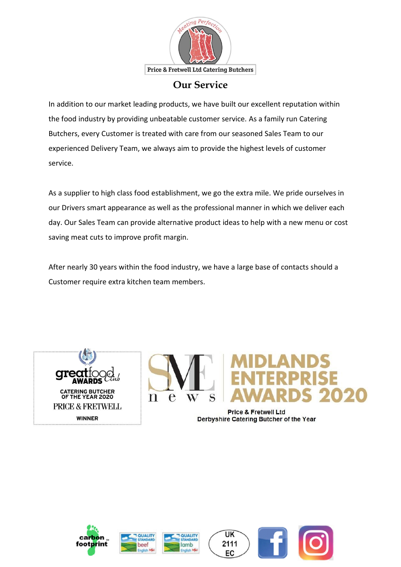

### **Our Service**

In addition to our market leading products, we have built our excellent reputation within the food industry by providing unbeatable customer service. As a family run Catering Butchers, every Customer is treated with care from our seasoned Sales Team to our experienced Delivery Team, we always aim to provide the highest levels of customer service.

As a supplier to high class food establishment, we go the extra mile. We pride ourselves in our Drivers smart appearance as well as the professional manner in which we deliver each day. Our Sales Team can provide alternative product ideas to help with a new menu or cost saving meat cuts to improve profit margin.

After nearly 30 years within the food industry, we have a large base of contacts should a Customer require extra kitchen team members.





**Price & Fretwell Ltd** Derbyshire Catering Butcher of the Year







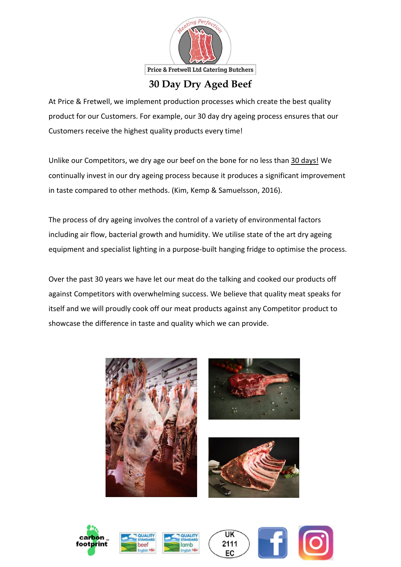

## **30 Day Dry Aged Beef**

At Price & Fretwell, we implement production processes which create the best quality product for our Customers. For example, our 30 day dry ageing process ensures that our Customers receive the highest quality products every time!

Unlike our Competitors, we dry age our beef on the bone for no less than 30 days! We continually invest in our dry ageing process because it produces a significant improvement in taste compared to other methods. (Kim, Kemp & Samuelsson, 2016).

The process of dry ageing involves the control of a variety of environmental factors including air flow, bacterial growth and humidity. We utilise state of the art dry ageing equipment and specialist lighting in a purpose-built hanging fridge to optimise the process.

Over the past 30 years we have let our meat do the talking and cooked our products off against Competitors with overwhelming success. We believe that quality meat speaks for itself and we will proudly cook off our meat products against any Competitor product to showcase the difference in taste and quality which we can provide.













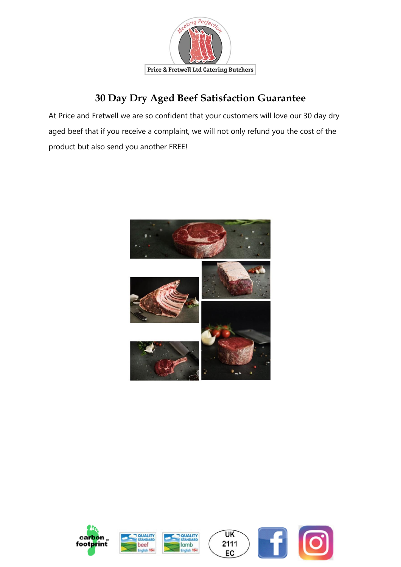

## **30 Day Dry Aged Beef Satisfaction Guarantee**

At Price and Fretwell we are so confident that your customers will love our 30 day dry aged beef that if you receive a complaint, we will not only refund you the cost of the product but also send you another FREE!



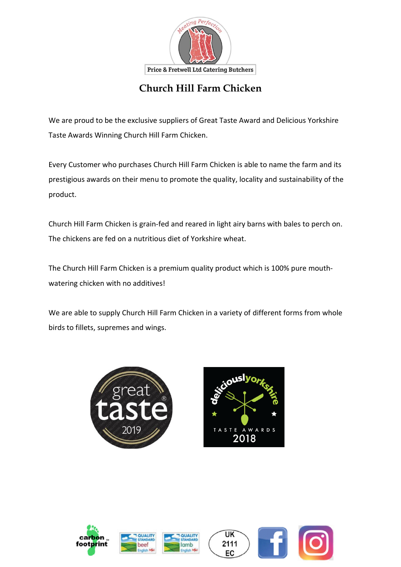

## **Church Hill Farm Chicken**

We are proud to be the exclusive suppliers of Great Taste Award and Delicious Yorkshire Taste Awards Winning Church Hill Farm Chicken.

Every Customer who purchases Church Hill Farm Chicken is able to name the farm and its prestigious awards on their menu to promote the quality, locality and sustainability of the product.

Church Hill Farm Chicken is grain-fed and reared in light airy barns with bales to perch on. The chickens are fed on a nutritious diet of Yorkshire wheat.

The Church Hill Farm Chicken is a premium quality product which is 100% pure mouthwatering chicken with no additives!

We are able to supply Church Hill Farm Chicken in a variety of different forms from whole birds to fillets, supremes and wings.





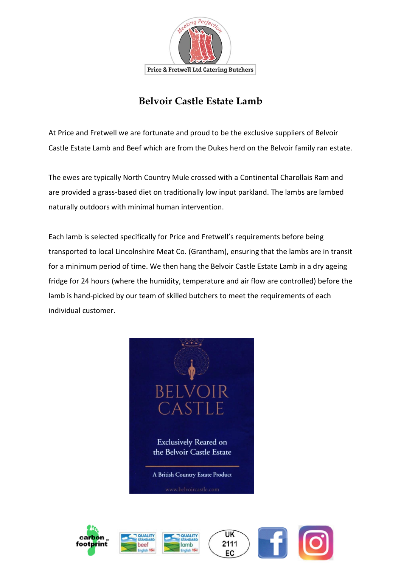

## **Belvoir Castle Estate Lamb**

At Price and Fretwell we are fortunate and proud to be the exclusive suppliers of Belvoir Castle Estate Lamb and Beef which are from the Dukes herd on the Belvoir family ran estate.

The ewes are typically North Country Mule crossed with a Continental Charollais Ram and are provided a grass-based diet on traditionally low input parkland. The lambs are lambed naturally outdoors with minimal human intervention.

Each lamb is selected specifically for Price and Fretwell's requirements before being transported to local Lincolnshire Meat Co. (Grantham), ensuring that the lambs are in transit for a minimum period of time. We then hang the Belvoir Castle Estate Lamb in a dry ageing fridge for 24 hours (where the humidity, temperature and air flow are controlled) before the lamb is hand-picked by our team of skilled butchers to meet the requirements of each individual customer.









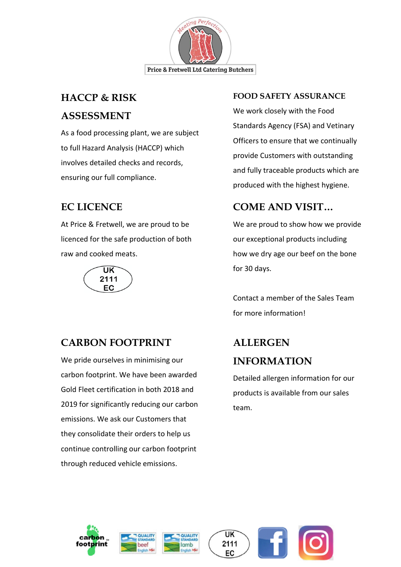

# **HACCP & RISK ASSESSMENT**

As a food processing plant, we are subject to full Hazard Analysis (HACCP) which involves detailed checks and records, ensuring our full compliance.

## **EC LICENCE**

At Price & Fretwell, we are proud to be licenced for the safe production of both raw and cooked meats.



## **CARBON FOOTPRINT**

We pride ourselves in minimising our carbon footprint. We have been awarded Gold Fleet certification in both 2018 and 2019 for significantly reducing our carbon emissions. We ask our Customers that they consolidate their orders to help us continue controlling our carbon footprint through reduced vehicle emissions.

#### **FOOD SAFETY ASSURANCE**

We work closely with the Food Standards Agency (FSA) and Vetinary Officers to ensure that we continually provide Customers with outstanding and fully traceable products which are produced with the highest hygiene.

## **COME AND VISIT…**

We are proud to show how we provide our exceptional products including how we dry age our beef on the bone for 30 days.

Contact a member of the Sales Team for more information!

# **ALLERGEN INFORMATION**

Detailed allergen information for our products is available from our sales team.